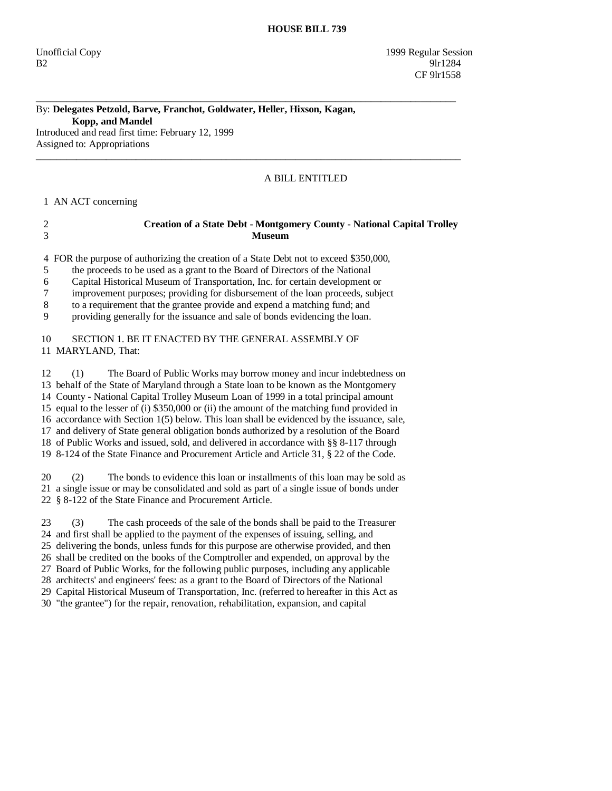### By: **Delegates Petzold, Barve, Franchot, Goldwater, Heller, Hixson, Kagan, Kopp, and Mandel**  Introduced and read first time: February 12, 1999

\_\_\_\_\_\_\_\_\_\_\_\_\_\_\_\_\_\_\_\_\_\_\_\_\_\_\_\_\_\_\_\_\_\_\_\_\_\_\_\_\_\_\_\_\_\_\_\_\_\_\_\_\_\_\_\_\_\_\_\_\_\_\_\_\_\_\_\_\_\_\_\_\_\_\_\_\_\_\_\_\_\_\_\_

Assigned to: Appropriations  $\_$  ,  $\_$  ,  $\_$  ,  $\_$  ,  $\_$  ,  $\_$  ,  $\_$  ,  $\_$  ,  $\_$  ,  $\_$  ,  $\_$  ,  $\_$  ,  $\_$  ,  $\_$  ,  $\_$  ,  $\_$  ,  $\_$  ,  $\_$  ,  $\_$  ,  $\_$  ,  $\_$  ,  $\_$  ,  $\_$  ,  $\_$  ,  $\_$  ,  $\_$  ,  $\_$  ,  $\_$  ,  $\_$  ,  $\_$  ,  $\_$  ,  $\_$  ,  $\_$  ,  $\_$  ,  $\_$  ,  $\_$  ,  $\_$  ,

# A BILL ENTITLED

## 1 AN ACT concerning

## 2 **Creation of a State Debt - Montgomery County - National Capital Trolley**  3 **Museum**

4 FOR the purpose of authorizing the creation of a State Debt not to exceed \$350,000,

5 the proceeds to be used as a grant to the Board of Directors of the National

6 Capital Historical Museum of Transportation, Inc. for certain development or

7 improvement purposes; providing for disbursement of the loan proceeds, subject

8 to a requirement that the grantee provide and expend a matching fund; and

9 providing generally for the issuance and sale of bonds evidencing the loan.

## 10 SECTION 1. BE IT ENACTED BY THE GENERAL ASSEMBLY OF 11 MARYLAND, That:

 12 (1) The Board of Public Works may borrow money and incur indebtedness on 13 behalf of the State of Maryland through a State loan to be known as the Montgomery 14 County - National Capital Trolley Museum Loan of 1999 in a total principal amount 15 equal to the lesser of (i) \$350,000 or (ii) the amount of the matching fund provided in 16 accordance with Section 1(5) below. This loan shall be evidenced by the issuance, sale, 17 and delivery of State general obligation bonds authorized by a resolution of the Board 18 of Public Works and issued, sold, and delivered in accordance with §§ 8-117 through 19 8-124 of the State Finance and Procurement Article and Article 31, § 22 of the Code.

 20 (2) The bonds to evidence this loan or installments of this loan may be sold as 21 a single issue or may be consolidated and sold as part of a single issue of bonds under 22 § 8-122 of the State Finance and Procurement Article.

 23 (3) The cash proceeds of the sale of the bonds shall be paid to the Treasurer 24 and first shall be applied to the payment of the expenses of issuing, selling, and

25 delivering the bonds, unless funds for this purpose are otherwise provided, and then

26 shall be credited on the books of the Comptroller and expended, on approval by the

27 Board of Public Works, for the following public purposes, including any applicable

28 architects' and engineers' fees: as a grant to the Board of Directors of the National

29 Capital Historical Museum of Transportation, Inc. (referred to hereafter in this Act as

30 "the grantee") for the repair, renovation, rehabilitation, expansion, and capital